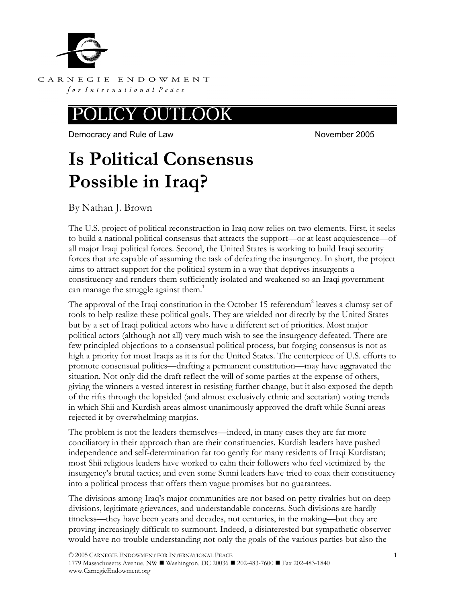

CARNEGIE ENDOWMENT for International Peace

#### OUTI LOOK

Democracy and Rule of Law November 2005

# **Is Political Consensus Possible in Iraq?**

By Nathan J. Brown

The U.S. project of political reconstruction in Iraq now relies on two elements. First, it seeks to build a national political consensus that attracts the support—or at least acquiescence—of all major Iraqi political forces. Second, the United States is working to build Iraqi security forces that are capable of assuming the task of defeating the insurgency. In short, the project aims to attract support for the political system in a way that deprives insurgents a constituency and renders them sufficiently isolated and weakened so an Iraqi government can manage the struggle against them.<sup>1</sup>

The approval of the Iraqi constitution in the October 15 referendum<sup>2</sup> leaves a clumsy set of tools to help realize these political goals. They are wielded not directly by the United States but by a set of Iraqi political actors who have a different set of priorities. Most major political actors (although not all) very much wish to see the insurgency defeated. There are few principled objections to a consensual political process, but forging consensus is not as high a priority for most Iraqis as it is for the United States. The centerpiece of U.S. efforts to promote consensual politics—drafting a permanent constitution—may have aggravated the situation. Not only did the draft reflect the will of some parties at the expense of others, giving the winners a vested interest in resisting further change, but it also exposed the depth of the rifts through the lopsided (and almost exclusively ethnic and sectarian) voting trends in which Shii and Kurdish areas almost unanimously approved the draft while Sunni areas rejected it by overwhelming margins.

The problem is not the leaders themselves—indeed, in many cases they are far more conciliatory in their approach than are their constituencies. Kurdish leaders have pushed independence and self-determination far too gently for many residents of Iraqi Kurdistan; most Shii religious leaders have worked to calm their followers who feel victimized by the insurgency's brutal tactics; and even some Sunni leaders have tried to coax their constituency into a political process that offers them vague promises but no guarantees.

The divisions among Iraq's major communities are not based on petty rivalries but on deep divisions, legitimate grievances, and understandable concerns. Such divisions are hardly timeless—they have been years and decades, not centuries, in the making—but they are proving increasingly difficult to surmount. Indeed, a disinterested but sympathetic observer would have no trouble understanding not only the goals of the various parties but also the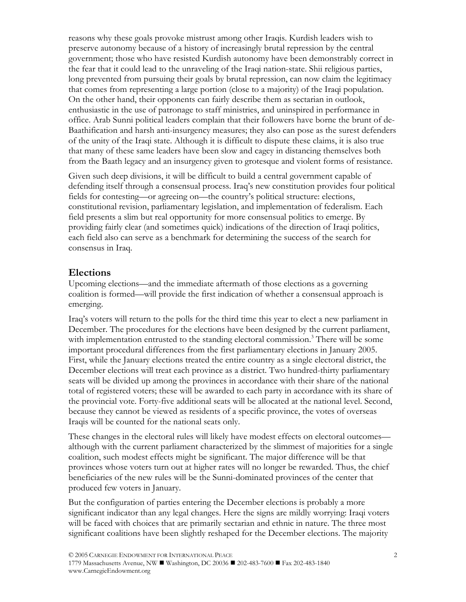reasons why these goals provoke mistrust among other Iraqis. Kurdish leaders wish to preserve autonomy because of a history of increasingly brutal repression by the central government; those who have resisted Kurdish autonomy have been demonstrably correct in the fear that it could lead to the unraveling of the Iraqi nation-state. Shii religious parties, long prevented from pursuing their goals by brutal repression, can now claim the legitimacy that comes from representing a large portion (close to a majority) of the Iraqi population. On the other hand, their opponents can fairly describe them as sectarian in outlook, enthusiastic in the use of patronage to staff ministries, and uninspired in performance in office. Arab Sunni political leaders complain that their followers have borne the brunt of de-Baathification and harsh anti-insurgency measures; they also can pose as the surest defenders of the unity of the Iraqi state. Although it is difficult to dispute these claims, it is also true that many of these same leaders have been slow and cagey in distancing themselves both from the Baath legacy and an insurgency given to grotesque and violent forms of resistance.

Given such deep divisions, it will be difficult to build a central government capable of defending itself through a consensual process. Iraq's new constitution provides four political fields for contesting—or agreeing on—the country's political structure: elections, constitutional revision, parliamentary legislation, and implementation of federalism. Each field presents a slim but real opportunity for more consensual politics to emerge. By providing fairly clear (and sometimes quick) indications of the direction of Iraqi politics, each field also can serve as a benchmark for determining the success of the search for consensus in Iraq.

## **Elections**

Upcoming elections—and the immediate aftermath of those elections as a governing coalition is formed—will provide the first indication of whether a consensual approach is emerging.

Iraq's voters will return to the polls for the third time this year to elect a new parliament in December. The procedures for the elections have been designed by the current parliament, with implementation entrusted to the standing electoral commission.<sup>3</sup> There will be some important procedural differences from the first parliamentary elections in January 2005. First, while the January elections treated the entire country as a single electoral district, the December elections will treat each province as a district. Two hundred-thirty parliamentary seats will be divided up among the provinces in accordance with their share of the national total of registered voters; these will be awarded to each party in accordance with its share of the provincial vote. Forty-five additional seats will be allocated at the national level. Second, because they cannot be viewed as residents of a specific province, the votes of overseas Iraqis will be counted for the national seats only.

These changes in the electoral rules will likely have modest effects on electoral outcomes although with the current parliament characterized by the slimmest of majorities for a single coalition, such modest effects might be significant. The major difference will be that provinces whose voters turn out at higher rates will no longer be rewarded. Thus, the chief beneficiaries of the new rules will be the Sunni-dominated provinces of the center that produced few voters in January.

But the configuration of parties entering the December elections is probably a more significant indicator than any legal changes. Here the signs are mildly worrying: Iraqi voters will be faced with choices that are primarily sectarian and ethnic in nature. The three most significant coalitions have been slightly reshaped for the December elections. The majority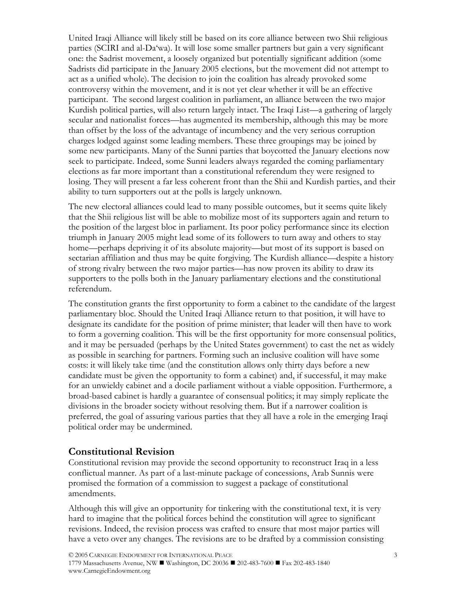United Iraqi Alliance will likely still be based on its core alliance between two Shii religious parties (SCIRI and al-Da'wa). It will lose some smaller partners but gain a very significant one: the Sadrist movement, a loosely organized but potentially significant addition (some Sadrists did participate in the January 2005 elections, but the movement did not attempt to act as a unified whole). The decision to join the coalition has already provoked some controversy within the movement, and it is not yet clear whether it will be an effective participant. The second largest coalition in parliament, an alliance between the two major Kurdish political parties, will also return largely intact. The Iraqi List—a gathering of largely secular and nationalist forces—has augmented its membership, although this may be more than offset by the loss of the advantage of incumbency and the very serious corruption charges lodged against some leading members. These three groupings may be joined by some new participants. Many of the Sunni parties that boycotted the January elections now seek to participate. Indeed, some Sunni leaders always regarded the coming parliamentary elections as far more important than a constitutional referendum they were resigned to losing. They will present a far less coherent front than the Shii and Kurdish parties, and their ability to turn supporters out at the polls is largely unknown.

The new electoral alliances could lead to many possible outcomes, but it seems quite likely that the Shii religious list will be able to mobilize most of its supporters again and return to the position of the largest bloc in parliament. Its poor policy performance since its election triumph in January 2005 might lead some of its followers to turn away and others to stay home—perhaps depriving it of its absolute majority—but most of its support is based on sectarian affiliation and thus may be quite forgiving. The Kurdish alliance—despite a history of strong rivalry between the two major parties—has now proven its ability to draw its supporters to the polls both in the January parliamentary elections and the constitutional referendum.

The constitution grants the first opportunity to form a cabinet to the candidate of the largest parliamentary bloc. Should the United Iraqi Alliance return to that position, it will have to designate its candidate for the position of prime minister; that leader will then have to work to form a governing coalition. This will be the first opportunity for more consensual politics, and it may be persuaded (perhaps by the United States government) to cast the net as widely as possible in searching for partners. Forming such an inclusive coalition will have some costs: it will likely take time (and the constitution allows only thirty days before a new candidate must be given the opportunity to form a cabinet) and, if successful, it may make for an unwieldy cabinet and a docile parliament without a viable opposition. Furthermore, a broad-based cabinet is hardly a guarantee of consensual politics; it may simply replicate the divisions in the broader society without resolving them. But if a narrower coalition is preferred, the goal of assuring various parties that they all have a role in the emerging Iraqi political order may be undermined.

### **Constitutional Revision**

Constitutional revision may provide the second opportunity to reconstruct Iraq in a less conflictual manner. As part of a last-minute package of concessions, Arab Sunnis were promised the formation of a commission to suggest a package of constitutional amendments.

Although this will give an opportunity for tinkering with the constitutional text, it is very hard to imagine that the political forces behind the constitution will agree to significant revisions. Indeed, the revision process was crafted to ensure that most major parties will have a veto over any changes. The revisions are to be drafted by a commission consisting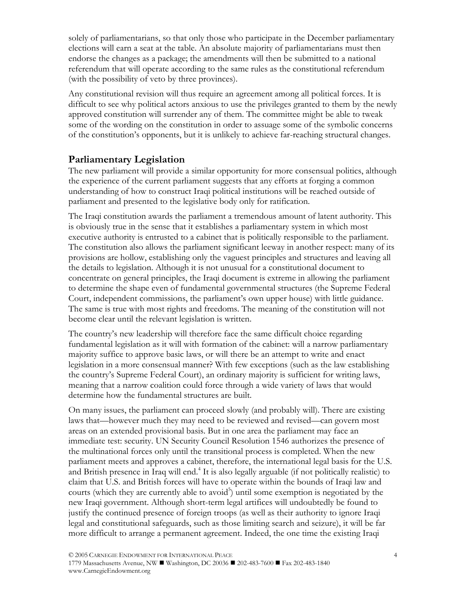solely of parliamentarians, so that only those who participate in the December parliamentary elections will earn a seat at the table. An absolute majority of parliamentarians must then endorse the changes as a package; the amendments will then be submitted to a national referendum that will operate according to the same rules as the constitutional referendum (with the possibility of veto by three provinces).

Any constitutional revision will thus require an agreement among all political forces. It is difficult to see why political actors anxious to use the privileges granted to them by the newly approved constitution will surrender any of them. The committee might be able to tweak some of the wording on the constitution in order to assuage some of the symbolic concerns of the constitution's opponents, but it is unlikely to achieve far-reaching structural changes.

## **Parliamentary Legislation**

The new parliament will provide a similar opportunity for more consensual politics, although the experience of the current parliament suggests that any efforts at forging a common understanding of how to construct Iraqi political institutions will be reached outside of parliament and presented to the legislative body only for ratification.

The Iraqi constitution awards the parliament a tremendous amount of latent authority. This is obviously true in the sense that it establishes a parliamentary system in which most executive authority is entrusted to a cabinet that is politically responsible to the parliament. The constitution also allows the parliament significant leeway in another respect: many of its provisions are hollow, establishing only the vaguest principles and structures and leaving all the details to legislation. Although it is not unusual for a constitutional document to concentrate on general principles, the Iraqi document is extreme in allowing the parliament to determine the shape even of fundamental governmental structures (the Supreme Federal Court, independent commissions, the parliament's own upper house) with little guidance. The same is true with most rights and freedoms. The meaning of the constitution will not become clear until the relevant legislation is written.

The country's new leadership will therefore face the same difficult choice regarding fundamental legislation as it will with formation of the cabinet: will a narrow parliamentary majority suffice to approve basic laws, or will there be an attempt to write and enact legislation in a more consensual manner? With few exceptions (such as the law establishing the country's Supreme Federal Court), an ordinary majority is sufficient for writing laws, meaning that a narrow coalition could force through a wide variety of laws that would determine how the fundamental structures are built.

On many issues, the parliament can proceed slowly (and probably will). There are existing laws that—however much they may need to be reviewed and revised—can govern most areas on an extended provisional basis. But in one area the parliament may face an immediate test: security. UN Security Council Resolution 1546 authorizes the presence of the multinational forces only until the transitional process is completed. When the new parliament meets and approves a cabinet, therefore, the international legal basis for the U.S. and British presence in Iraq will end.<sup>4</sup> It is also legally arguable (if not politically realistic) to claim that U.S. and British forces will have to operate within the bounds of Iraqi law and courts (which they are currently able to avoid<sup>5</sup>) until some exemption is negotiated by the new Iraqi government. Although short-term legal artifices will undoubtedly be found to justify the continued presence of foreign troops (as well as their authority to ignore Iraqi legal and constitutional safeguards, such as those limiting search and seizure), it will be far more difficult to arrange a permanent agreement. Indeed, the one time the existing Iraqi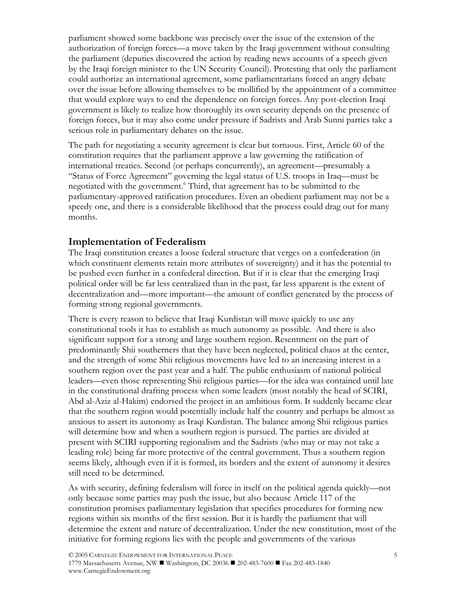parliament showed some backbone was precisely over the issue of the extension of the authorization of foreign forces—a move taken by the Iraqi government without consulting the parliament (deputies discovered the action by reading news accounts of a speech given by the Iraqi foreign minister to the UN Security Council). Protesting that only the parliament could authorize an international agreement, some parliamentarians forced an angry debate over the issue before allowing themselves to be mollified by the appointment of a committee that would explore ways to end the dependence on foreign forces. Any post-election Iraqi government is likely to realize how thoroughly its own security depends on the presence of foreign forces, but it may also come under pressure if Sadrists and Arab Sunni parties take a serious role in parliamentary debates on the issue.

The path for negotiating a security agreement is clear but tortuous. First, Article 60 of the constitution requires that the parliament approve a law governing the ratification of international treaties. Second (or perhaps concurrently), an agreement—presumably a "Status of Force Agreement" governing the legal status of U.S. troops in Iraq—must be negotiated with the government.<sup>6</sup> Third, that agreement has to be submitted to the parliamentary-approved ratification procedures. Even an obedient parliament may not be a speedy one, and there is a considerable likelihood that the process could drag out for many months.

## **Implementation of Federalism**

The Iraqi constitution creates a loose federal structure that verges on a confederation (in which constituent elements retain more attributes of sovereignty) and it has the potential to be pushed even further in a confederal direction. But if it is clear that the emerging Iraqi political order will be far less centralized than in the past, far less apparent is the extent of decentralization and—more important—the amount of conflict generated by the process of forming strong regional governments.

There is every reason to believe that Iraqi Kurdistan will move quickly to use any constitutional tools it has to establish as much autonomy as possible. And there is also significant support for a strong and large southern region. Resentment on the part of predominantly Shii southerners that they have been neglected, political chaos at the center, and the strength of some Shii religious movements have led to an increasing interest in a southern region over the past year and a half. The public enthusiasm of national political leaders—even those representing Shii religious parties—for the idea was contained until late in the constitutional drafting process when some leaders (most notably the head of SCIRI, Abd al-Aziz al-Hakim) endorsed the project in an ambitious form. It suddenly became clear that the southern region would potentially include half the country and perhaps be almost as anxious to assert its autonomy as Iraqi Kurdistan. The balance among Shii religious parties will determine how and when a southern region is pursued. The parties are divided at present with SCIRI supporting regionalism and the Sadrists (who may or may not take a leading role) being far more protective of the central government. Thus a southern region seems likely, although even if it is formed, its borders and the extent of autonomy it desires still need to be determined.

As with security, defining federalism will force in itself on the political agenda quickly—not only because some parties may push the issue, but also because Article 117 of the constitution promises parliamentary legislation that specifies procedures for forming new regions within six months of the first session. But it is hardly the parliament that will determine the extent and nature of decentralization. Under the new constitution, most of the initiative for forming regions lies with the people and governments of the various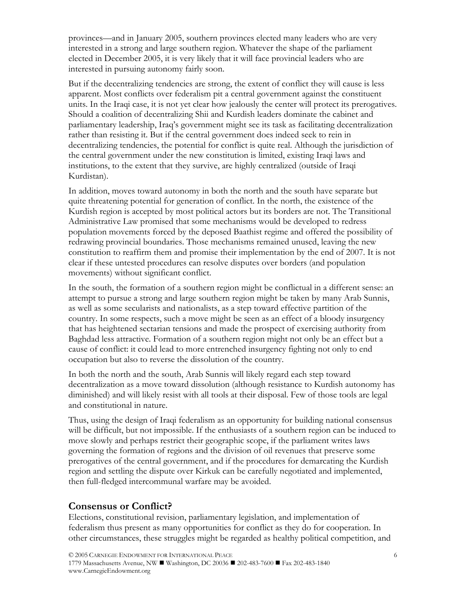provinces—and in January 2005, southern provinces elected many leaders who are very interested in a strong and large southern region. Whatever the shape of the parliament elected in December 2005, it is very likely that it will face provincial leaders who are interested in pursuing autonomy fairly soon.

But if the decentralizing tendencies are strong, the extent of conflict they will cause is less apparent. Most conflicts over federalism pit a central government against the constituent units. In the Iraqi case, it is not yet clear how jealously the center will protect its prerogatives. Should a coalition of decentralizing Shii and Kurdish leaders dominate the cabinet and parliamentary leadership, Iraq's government might see its task as facilitating decentralization rather than resisting it. But if the central government does indeed seek to rein in decentralizing tendencies, the potential for conflict is quite real. Although the jurisdiction of the central government under the new constitution is limited, existing Iraqi laws and institutions, to the extent that they survive, are highly centralized (outside of Iraqi Kurdistan).

In addition, moves toward autonomy in both the north and the south have separate but quite threatening potential for generation of conflict. In the north, the existence of the Kurdish region is accepted by most political actors but its borders are not. The Transitional Administrative Law promised that some mechanisms would be developed to redress population movements forced by the deposed Baathist regime and offered the possibility of redrawing provincial boundaries. Those mechanisms remained unused, leaving the new constitution to reaffirm them and promise their implementation by the end of 2007. It is not clear if these untested procedures can resolve disputes over borders (and population movements) without significant conflict.

In the south, the formation of a southern region might be conflictual in a different sense: an attempt to pursue a strong and large southern region might be taken by many Arab Sunnis, as well as some secularists and nationalists, as a step toward effective partition of the country. In some respects, such a move might be seen as an effect of a bloody insurgency that has heightened sectarian tensions and made the prospect of exercising authority from Baghdad less attractive. Formation of a southern region might not only be an effect but a cause of conflict: it could lead to more entrenched insurgency fighting not only to end occupation but also to reverse the dissolution of the country.

In both the north and the south, Arab Sunnis will likely regard each step toward decentralization as a move toward dissolution (although resistance to Kurdish autonomy has diminished) and will likely resist with all tools at their disposal. Few of those tools are legal and constitutional in nature.

Thus, using the design of Iraqi federalism as an opportunity for building national consensus will be difficult, but not impossible. If the enthusiasts of a southern region can be induced to move slowly and perhaps restrict their geographic scope, if the parliament writes laws governing the formation of regions and the division of oil revenues that preserve some prerogatives of the central government, and if the procedures for demarcating the Kurdish region and settling the dispute over Kirkuk can be carefully negotiated and implemented, then full-fledged intercommunal warfare may be avoided.

### **Consensus or Conflict?**

Elections, constitutional revision, parliamentary legislation, and implementation of federalism thus present as many opportunities for conflict as they do for cooperation. In other circumstances, these struggles might be regarded as healthy political competition, and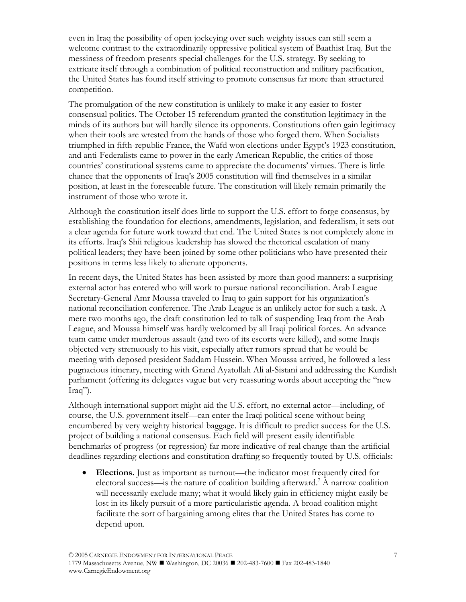even in Iraq the possibility of open jockeying over such weighty issues can still seem a welcome contrast to the extraordinarily oppressive political system of Baathist Iraq. But the messiness of freedom presents special challenges for the U.S. strategy. By seeking to extricate itself through a combination of political reconstruction and military pacification, the United States has found itself striving to promote consensus far more than structured competition.

The promulgation of the new constitution is unlikely to make it any easier to foster consensual politics. The October 15 referendum granted the constitution legitimacy in the minds of its authors but will hardly silence its opponents. Constitutions often gain legitimacy when their tools are wrested from the hands of those who forged them. When Socialists triumphed in fifth-republic France, the Wafd won elections under Egypt's 1923 constitution, and anti-Federalists came to power in the early American Republic, the critics of those countries' constitutional systems came to appreciate the documents' virtues. There is little chance that the opponents of Iraq's 2005 constitution will find themselves in a similar position, at least in the foreseeable future. The constitution will likely remain primarily the instrument of those who wrote it.

Although the constitution itself does little to support the U.S. effort to forge consensus, by establishing the foundation for elections, amendments, legislation, and federalism, it sets out a clear agenda for future work toward that end. The United States is not completely alone in its efforts. Iraq's Shii religious leadership has slowed the rhetorical escalation of many political leaders; they have been joined by some other politicians who have presented their positions in terms less likely to alienate opponents.

In recent days, the United States has been assisted by more than good manners: a surprising external actor has entered who will work to pursue national reconciliation. Arab League Secretary-General Amr Moussa traveled to Iraq to gain support for his organization's national reconciliation conference. The Arab League is an unlikely actor for such a task. A mere two months ago, the draft constitution led to talk of suspending Iraq from the Arab League, and Moussa himself was hardly welcomed by all Iraqi political forces. An advance team came under murderous assault (and two of its escorts were killed), and some Iraqis objected very strenuously to his visit, especially after rumors spread that he would be meeting with deposed president Saddam Hussein. When Moussa arrived, he followed a less pugnacious itinerary, meeting with Grand Ayatollah Ali al-Sistani and addressing the Kurdish parliament (offering its delegates vague but very reassuring words about accepting the "new Iraq").

Although international support might aid the U.S. effort, no external actor—including, of course, the U.S. government itself—can enter the Iraqi political scene without being encumbered by very weighty historical baggage. It is difficult to predict success for the U.S. project of building a national consensus. Each field will present easily identifiable benchmarks of progress (or regression) far more indicative of real change than the artificial deadlines regarding elections and constitution drafting so frequently touted by U.S. officials:

• **Elections.** Just as important as turnout—the indicator most frequently cited for electoral success—is the nature of coalition building afterward.<sup>7</sup> A narrow coalition will necessarily exclude many; what it would likely gain in efficiency might easily be lost in its likely pursuit of a more particularistic agenda. A broad coalition might facilitate the sort of bargaining among elites that the United States has come to depend upon.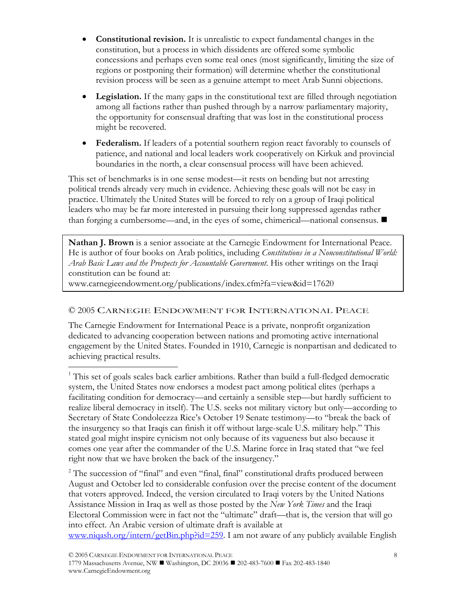- **Constitutional revision.** It is unrealistic to expect fundamental changes in the constitution, but a process in which dissidents are offered some symbolic concessions and perhaps even some real ones (most significantly, limiting the size of regions or postponing their formation) will determine whether the constitutional revision process will be seen as a genuine attempt to meet Arab Sunni objections.
- **Legislation.** If the many gaps in the constitutional text are filled through negotiation among all factions rather than pushed through by a narrow parliamentary majority, the opportunity for consensual drafting that was lost in the constitutional process might be recovered.
- **Federalism.** If leaders of a potential southern region react favorably to counsels of patience, and national and local leaders work cooperatively on Kirkuk and provincial boundaries in the north, a clear consensual process will have been achieved.

This set of benchmarks is in one sense modest—it rests on bending but not arresting political trends already very much in evidence. Achieving these goals will not be easy in practice. Ultimately the United States will be forced to rely on a group of Iraqi political leaders who may be far more interested in pursuing their long suppressed agendas rather than forging a cumbersome—and, in the eyes of some, chimerical—national consensus.

**Nathan J. Brown** is a senior associate at the Carnegie Endowment for International Peace. He is author of four books on Arab politics, including *Constitutions in a Nonconstitutional World: Arab Basic Laws and the Prospects for Accountable Government*. His other writings on the Iraqi constitution can be found at:

www.carnegieendowment.org/publications/index.cfm?fa=view&id=17620

 $\overline{a}$ 

### © 2005 CARNEGIE ENDOWMENT FOR INTERNATIONAL PEACE

The Carnegie Endowment for International Peace is a private, nonprofit organization dedicated to advancing cooperation between nations and promoting active international engagement by the United States. Founded in 1910, Carnegie is nonpartisan and dedicated to achieving practical results.

<sup>2</sup> The succession of "final" and even "final, final" constitutional drafts produced between August and October led to considerable confusion over the precise content of the document that voters approved. Indeed, the version circulated to Iraqi voters by the United Nations Assistance Mission in Iraq as well as those posted by the *New York Times* and the Iraqi Electoral Commission were in fact not the "ultimate" draft—that is, the version that will go into effect. An Arabic version of ultimate draft is available at

www.niqash.org/intern/getBin.php?id=259. I am not aware of any publicly available English

<sup>&</sup>lt;sup>1</sup> This set of goals scales back earlier ambitions. Rather than build a full-fledged democratic system, the United States now endorses a modest pact among political elites (perhaps a facilitating condition for democracy—and certainly a sensible step—but hardly sufficient to realize liberal democracy in itself). The U.S. seeks not military victory but only—according to Secretary of State Condoleezza Rice's October 19 Senate testimony—to "break the back of the insurgency so that Iraqis can finish it off without large-scale U.S. military help." This stated goal might inspire cynicism not only because of its vagueness but also because it comes one year after the commander of the U.S. Marine force in Iraq stated that "we feel right now that we have broken the back of the insurgency."